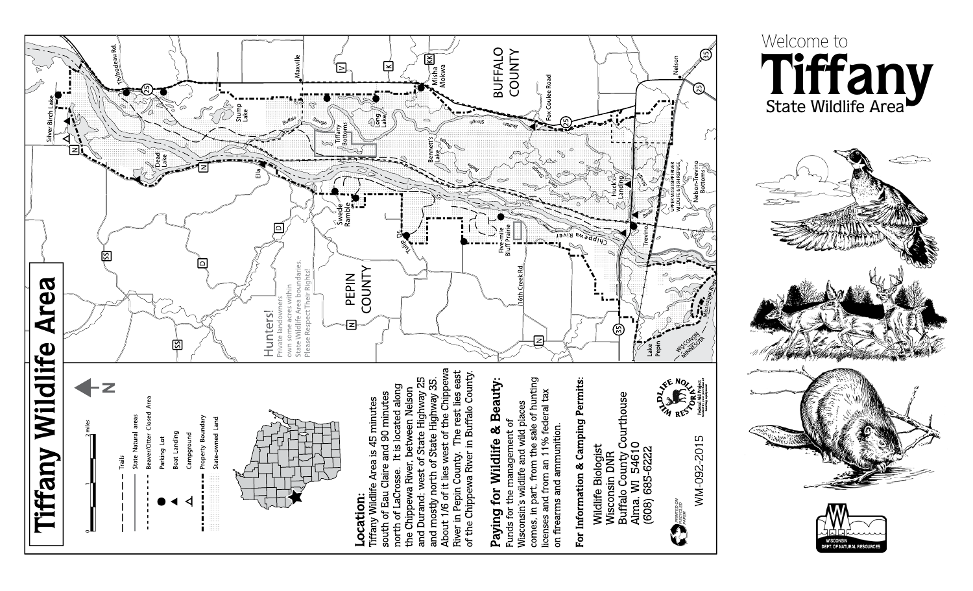



ଲ





**Tiffany**

State Wildlife Area

Welcome to